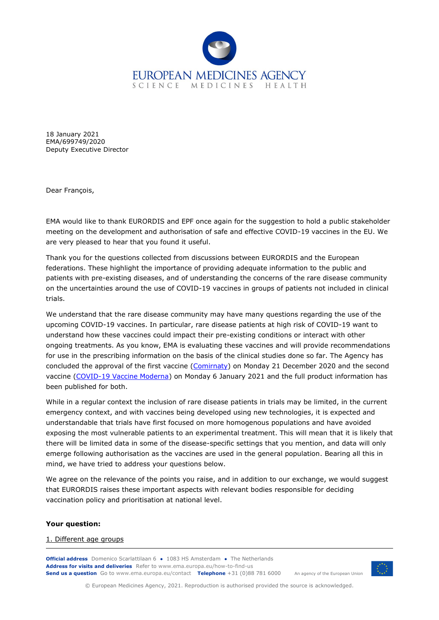

18 January 2021 EMA/699749/2020 Deputy Executive Director

Dear François,

EMA would like to thank EURORDIS and EPF once again for the suggestion to hold a public stakeholder meeting on the development and authorisation of safe and effective COVID-19 vaccines in the EU. We are very pleased to hear that you found it useful.

Thank you for the questions collected from discussions between EURORDIS and the European federations. These highlight the importance of providing adequate information to the public and patients with pre-existing diseases, and of understanding the concerns of the rare disease community on the uncertainties around the use of COVID-19 vaccines in groups of patients not included in clinical trials.

We understand that the rare disease community may have many questions regarding the use of the upcoming COVID-19 vaccines. In particular, rare disease patients at high risk of COVID-19 want to understand how these vaccines could impact their pre-existing conditions or interact with other ongoing treatments. As you know, EMA is evaluating these vaccines and will provide recommendations for use in the prescribing information on the basis of the clinical studies done so far. The Agency has concluded the approval of the first vaccine [\(Comirnaty\)](https://www.ema.europa.eu/en/medicines/human/EPAR/comirnaty) on Monday 21 December 2020 and the second vaccine [\(COVID-19 Vaccine Moderna\)](https://www.ema.europa.eu/en/medicines/human/summaries-opinion/covid-19-vaccine-moderna) on Monday 6 January 2021 and the full product information has been published for both.

While in a regular context the inclusion of rare disease patients in trials may be limited, in the current emergency context, and with vaccines being developed using new technologies, it is expected and understandable that trials have first focused on more homogenous populations and have avoided exposing the most vulnerable patients to an experimental treatment. This will mean that it is likely that there will be limited data in some of the disease-specific settings that you mention, and data will only emerge following authorisation as the vaccines are used in the general population. Bearing all this in mind, we have tried to address your questions below.

We agree on the relevance of the points you raise, and in addition to our exchange, we would suggest that EURORDIS raises these important aspects with relevant bodies responsible for deciding vaccination policy and prioritisation at national level.

### **Your question:**

### 1. Different age groups

**Official address** Domenico Scarlattilaan 6 **●** 1083 HS Amsterdam **●** The Netherlands An agency of the European Union **Address for visits and deliveries** Refer to www.ema.europa.eu/how-to-find-us **Send us a question** Go to www.ema.europa.eu/contact **Telephone** +31 (0)88 781 6000



© European Medicines Agency, 2021. Reproduction is authorised provided the source is acknowledged.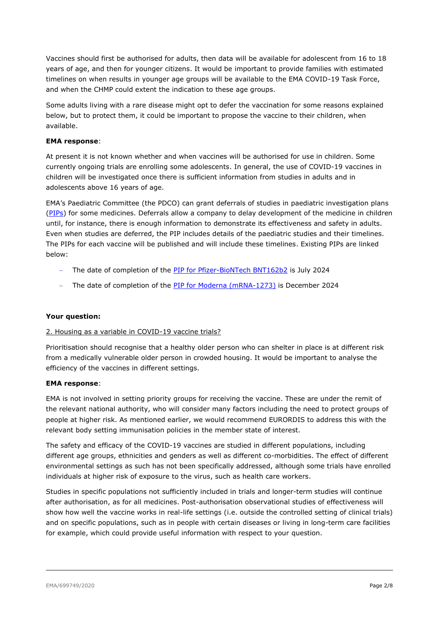Vaccines should first be authorised for adults, then data will be available for adolescent from 16 to 18 years of age, and then for younger citizens. It would be important to provide families with estimated timelines on when results in younger age groups will be available to the EMA COVID-19 Task Force, and when the CHMP could extent the indication to these age groups.

Some adults living with a rare disease might opt to defer the vaccination for some reasons explained below, but to protect them, it could be important to propose the vaccine to their children, when available.

## **EMA response**:

At present it is not known whether and when vaccines will be authorised for use in children. Some currently ongoing trials are enrolling some adolescents. In general, the use of COVID-19 vaccines in children will be investigated once there is sufficient information from studies in adults and in adolescents above 16 years of age.

EMA's Paediatric Committee (the PDCO) can grant deferrals of studies in paediatric investigation plans [\(PIPs\)](https://www.ema.europa.eu/en/human-regulatory/research-development/paediatric-medicines/paediatric-investigation-plans) for some medicines. Deferrals allow a company to delay development of the medicine in children until, for instance, there is enough information to demonstrate its effectiveness and safety in adults. Even when studies are deferred, the PIP includes details of the paediatric studies and their timelines. The PIPs for each vaccine will be published and will include these timelines. Existing PIPs are linked below:

- − The date of completion of the [PIP for Pfizer-BioNTech BNT162b2](https://www.ema.europa.eu/en/documents/pip-decision/p/0480/2020-ema-decision-27-november-2020-agreement-paediatric-investigation-plan-granting-deferral-highly_en.pdf) is July 2024
- − The date of completion of the [PIP for Moderna \(mRNA-1273\)](https://www.ema.europa.eu/en/documents/pip-decision/p/0481/2020-ema-decision-30-november-2020-agreement-paediatric-investigation-plan-granting-deferral-mrna_en.pdf) is December 2024

# **Your question:**

### 2. Housing as a variable in COVID-19 vaccine trials?

Prioritisation should recognise that a healthy older person who can shelter in place is at different risk from a medically vulnerable older person in crowded housing. It would be important to analyse the efficiency of the vaccines in different settings.

### **EMA response**:

EMA is not involved in setting priority groups for receiving the vaccine. These are under the remit of the relevant national authority, who will consider many factors including the need to protect groups of people at higher risk. As mentioned earlier, we would recommend EURORDIS to address this with the relevant body setting immunisation policies in the member state of interest.

The safety and efficacy of the COVID-19 vaccines are studied in different populations, including different age groups, ethnicities and genders as well as different co-morbidities. The effect of different environmental settings as such has not been specifically addressed, although some trials have enrolled individuals at higher risk of exposure to the virus, such as health care workers.

Studies in specific populations not sufficiently included in trials and longer-term studies will continue after authorisation, as for all medicines. Post-authorisation observational studies of effectiveness will show how well the vaccine works in real-life settings (i.e. outside the controlled setting of clinical trials) and on specific populations, such as in people with certain diseases or living in long-term care facilities for example, which could provide useful information with respect to your question.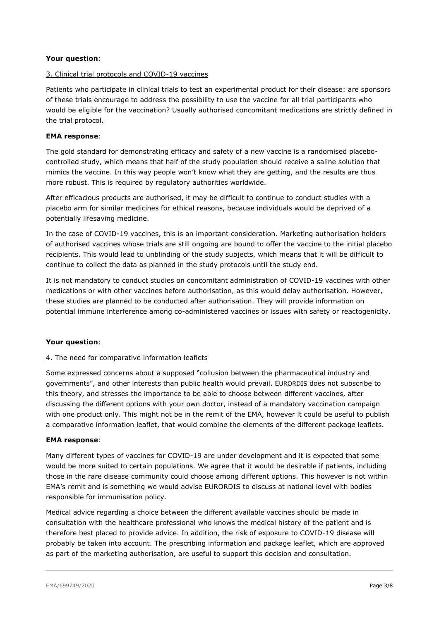# **Your question**:

### 3. Clinical trial protocols and COVID-19 vaccines

Patients who participate in clinical trials to test an experimental product for their disease: are sponsors of these trials encourage to address the possibility to use the vaccine for all trial participants who would be eligible for the vaccination? Usually authorised concomitant medications are strictly defined in the trial protocol.

## **EMA response**:

The gold standard for demonstrating efficacy and safety of a new vaccine is a randomised placebocontrolled study, which means that half of the study population should receive a saline solution that mimics the vaccine. In this way people won't know what they are getting, and the results are thus more robust. This is required by regulatory authorities worldwide.

After efficacious products are authorised, it may be difficult to continue to conduct studies with a placebo arm for similar medicines for ethical reasons, because individuals would be deprived of a potentially lifesaving medicine.

In the case of COVID-19 vaccines, this is an important consideration. Marketing authorisation holders of authorised vaccines whose trials are still ongoing are bound to offer the vaccine to the initial placebo recipients. This would lead to unblinding of the study subjects, which means that it will be difficult to continue to collect the data as planned in the study protocols until the study end.

It is not mandatory to conduct studies on concomitant administration of COVID-19 vaccines with other medications or with other vaccines before authorisation, as this would delay authorisation. However, these studies are planned to be conducted after authorisation. They will provide information on potential immune interference among co-administered vaccines or issues with safety or reactogenicity.

# **Your question**:

### 4. The need for comparative information leaflets

Some expressed concerns about a supposed "collusion between the pharmaceutical industry and governments", and other interests than public health would prevail. EURORDIS does not subscribe to this theory, and stresses the importance to be able to choose between different vaccines, after discussing the different options with your own doctor, instead of a mandatory vaccination campaign with one product only. This might not be in the remit of the EMA, however it could be useful to publish a comparative information leaflet, that would combine the elements of the different package leaflets.

### **EMA response**:

Many different types of vaccines for COVID-19 are under development and it is expected that some would be more suited to certain populations. We agree that it would be desirable if patients, including those in the rare disease community could choose among different options. This however is not within EMA's remit and is something we would advise EURORDIS to discuss at national level with bodies responsible for immunisation policy.

Medical advice regarding a choice between the different available vaccines should be made in consultation with the healthcare professional who knows the medical history of the patient and is therefore best placed to provide advice. In addition, the risk of exposure to COVID-19 disease will probably be taken into account. The prescribing information and package leaflet, which are approved as part of the marketing authorisation, are useful to support this decision and consultation.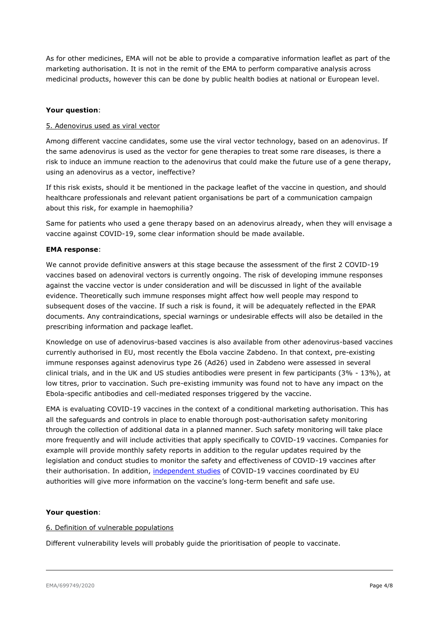As for other medicines, EMA will not be able to provide a comparative information leaflet as part of the marketing authorisation. It is not in the remit of the EMA to perform comparative analysis across medicinal products, however this can be done by public health bodies at national or European level.

## **Your question**:

### 5. Adenovirus used as viral vector

Among different vaccine candidates, some use the viral vector technology, based on an adenovirus. If the same adenovirus is used as the vector for gene therapies to treat some rare diseases, is there a risk to induce an immune reaction to the adenovirus that could make the future use of a gene therapy, using an adenovirus as a vector, ineffective?

If this risk exists, should it be mentioned in the package leaflet of the vaccine in question, and should healthcare professionals and relevant patient organisations be part of a communication campaign about this risk, for example in haemophilia?

Same for patients who used a gene therapy based on an adenovirus already, when they will envisage a vaccine against COVID-19, some clear information should be made available.

### **EMA response**:

We cannot provide definitive answers at this stage because the assessment of the first 2 COVID-19 vaccines based on adenoviral vectors is currently ongoing. The risk of developing immune responses against the vaccine vector is under consideration and will be discussed in light of the available evidence. Theoretically such immune responses might affect how well people may respond to subsequent doses of the vaccine. If such a risk is found, it will be adequately reflected in the EPAR documents. Any contraindications, special warnings or undesirable effects will also be detailed in the prescribing information and package leaflet.

Knowledge on use of adenovirus-based vaccines is also available from other adenovirus-based vaccines currently authorised in EU, most recently the Ebola vaccine Zabdeno. In that context, pre-existing immune responses against adenovirus type 26 (Ad26) used in Zabdeno were assessed in several clinical trials, and in the UK and US studies antibodies were present in few participants (3% - 13%), at low titres, prior to vaccination. Such pre-existing immunity was found not to have any impact on the Ebola-specific antibodies and cell-mediated responses triggered by the vaccine.

EMA is evaluating COVID-19 vaccines in the context of a conditional marketing authorisation. This has all the safeguards and controls in place to enable thorough post-authorisation safety monitoring through the collection of additional data in a planned manner. Such safety monitoring will take place more frequently and will include activities that apply specifically to COVID-19 vaccines. Companies for example will provide monthly safety reports in addition to the regular updates required by the legislation and conduct studies to monitor the safety and effectiveness of COVID-19 vaccines after their authorisation. In addition, [independent studies](https://www.ema.europa.eu/en/human-regulatory/overview/public-health-threats/coronavirus-disease-covid-19/treatments-vaccines-covid-19#post-authorisation-section) of COVID-19 vaccines coordinated by EU authorities will give more information on the vaccine's long-term benefit and safe use.

### **Your question**:

### 6. Definition of vulnerable populations

Different vulnerability levels will probably guide the prioritisation of people to vaccinate.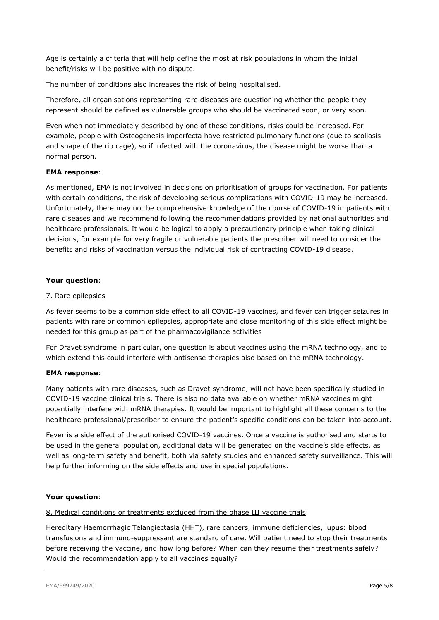Age is certainly a criteria that will help define the most at risk populations in whom the initial benefit/risks will be positive with no dispute.

The number of conditions also increases the risk of being hospitalised.

Therefore, all organisations representing rare diseases are questioning whether the people they represent should be defined as vulnerable groups who should be vaccinated soon, or very soon.

Even when not immediately described by one of these conditions, risks could be increased. For example, people with Osteogenesis imperfecta have restricted pulmonary functions (due to scoliosis and shape of the rib cage), so if infected with the coronavirus, the disease might be worse than a normal person.

### **EMA response**:

As mentioned, EMA is not involved in decisions on prioritisation of groups for vaccination. For patients with certain conditions, the risk of developing serious complications with COVID-19 may be increased. Unfortunately, there may not be comprehensive knowledge of the course of COVID-19 in patients with rare diseases and we recommend following the recommendations provided by national authorities and healthcare professionals. It would be logical to apply a precautionary principle when taking clinical decisions, for example for very fragile or vulnerable patients the prescriber will need to consider the benefits and risks of vaccination versus the individual risk of contracting COVID-19 disease.

### **Your question**:

### 7. Rare epilepsies

As fever seems to be a common side effect to all COVID-19 vaccines, and fever can trigger seizures in patients with rare or common epilepsies, appropriate and close monitoring of this side effect might be needed for this group as part of the pharmacovigilance activities

For Dravet syndrome in particular, one question is about vaccines using the mRNA technology, and to which extend this could interfere with antisense therapies also based on the mRNA technology.

### **EMA response**:

Many patients with rare diseases, such as Dravet syndrome, will not have been specifically studied in COVID-19 vaccine clinical trials. There is also no data available on whether mRNA vaccines might potentially interfere with mRNA therapies. It would be important to highlight all these concerns to the healthcare professional/prescriber to ensure the patient's specific conditions can be taken into account.

Fever is a side effect of the authorised COVID-19 vaccines. Once a vaccine is authorised and starts to be used in the general population, additional data will be generated on the vaccine's side effects, as well as long-term safety and benefit, both via safety studies and enhanced safety surveillance. This will help further informing on the side effects and use in special populations.

### **Your question**:

### 8. Medical conditions or treatments excluded from the phase III vaccine trials

Hereditary Haemorrhagic Telangiectasia (HHT), rare cancers, immune deficiencies, lupus: blood transfusions and immuno-suppressant are standard of care. Will patient need to stop their treatments before receiving the vaccine, and how long before? When can they resume their treatments safely? Would the recommendation apply to all vaccines equally?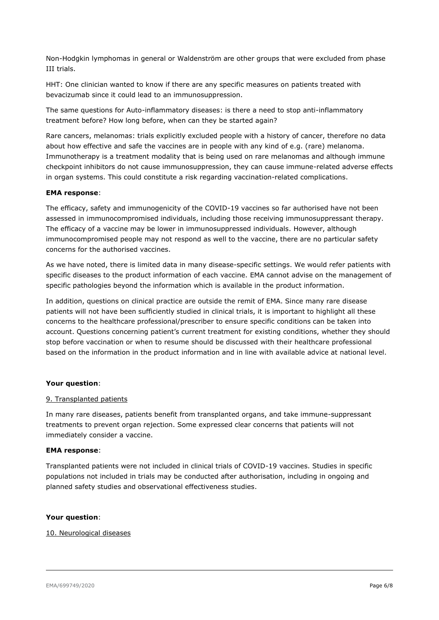Non-Hodgkin lymphomas in general or Waldenström are other groups that were excluded from phase III trials.

HHT: One clinician wanted to know if there are any specific measures on patients treated with bevacizumab since it could lead to an immunosuppression.

The same questions for Auto-inflammatory diseases: is there a need to stop anti-inflammatory treatment before? How long before, when can they be started again?

Rare cancers, melanomas: trials explicitly excluded people with a history of cancer, therefore no data about how effective and safe the vaccines are in people with any kind of e.g. (rare) melanoma. Immunotherapy is a treatment modality that is being used on rare melanomas and although immune checkpoint inhibitors do not cause immunosuppression, they can cause immune-related adverse effects in organ systems. This could constitute a risk regarding vaccination-related complications.

### **EMA response**:

The efficacy, safety and immunogenicity of the COVID-19 vaccines so far authorised have not been assessed in immunocompromised individuals, including those receiving immunosuppressant therapy. The efficacy of a vaccine may be lower in immunosuppressed individuals. However, although immunocompromised people may not respond as well to the vaccine, there are no particular safety concerns for the authorised vaccines.

As we have noted, there is limited data in many disease-specific settings. We would refer patients with specific diseases to the product information of each vaccine. EMA cannot advise on the management of specific pathologies beyond the information which is available in the product information.

In addition, questions on clinical practice are outside the remit of EMA. Since many rare disease patients will not have been sufficiently studied in clinical trials, it is important to highlight all these concerns to the healthcare professional/prescriber to ensure specific conditions can be taken into account. Questions concerning patient's current treatment for existing conditions, whether they should stop before vaccination or when to resume should be discussed with their healthcare professional based on the information in the product information and in line with available advice at national level.

### **Your question**:

### 9. Transplanted patients

In many rare diseases, patients benefit from transplanted organs, and take immune-suppressant treatments to prevent organ rejection. Some expressed clear concerns that patients will not immediately consider a vaccine.

### **EMA response**:

Transplanted patients were not included in clinical trials of COVID-19 vaccines. Studies in specific populations not included in trials may be conducted after authorisation, including in ongoing and planned safety studies and observational effectiveness studies.

#### **Your question**:

### 10. Neurological diseases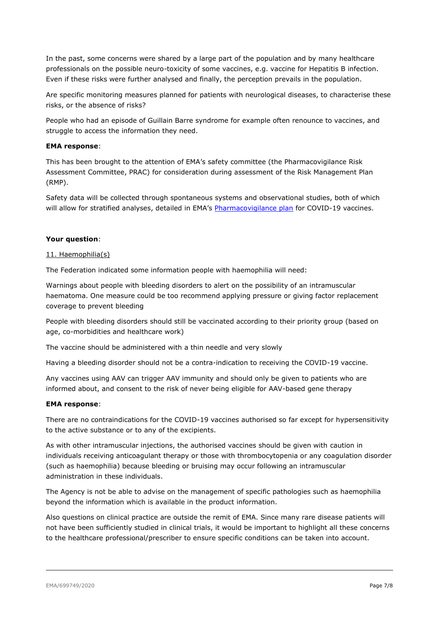In the past, some concerns were shared by a large part of the population and by many healthcare professionals on the possible neuro-toxicity of some vaccines, e.g. vaccine for Hepatitis B infection. Even if these risks were further analysed and finally, the perception prevails in the population.

Are specific monitoring measures planned for patients with neurological diseases, to characterise these risks, or the absence of risks?

People who had an episode of Guillain Barre syndrome for example often renounce to vaccines, and struggle to access the information they need.

### **EMA response**:

This has been brought to the attention of EMA's safety committee (the Pharmacovigilance Risk Assessment Committee, PRAC) for consideration during assessment of the Risk Management Plan (RMP).

Safety data will be collected through spontaneous systems and observational studies, both of which will allow for stratified analyses, detailed in EMA's [Pharmacovigilance plan](https://www.ema.europa.eu/en/documents/other/pharmacovigilance-plan-eu-regulatory-network-covid-19-vaccines_en.pdf) for COVID-19 vaccines.

#### **Your question**:

#### 11. Haemophilia(s)

The Federation indicated some information people with haemophilia will need:

Warnings about people with bleeding disorders to alert on the possibility of an intramuscular haematoma. One measure could be too recommend applying pressure or giving factor replacement coverage to prevent bleeding

People with bleeding disorders should still be vaccinated according to their priority group (based on age, co-morbidities and healthcare work)

The vaccine should be administered with a thin needle and very slowly

Having a bleeding disorder should not be a contra-indication to receiving the COVID-19 vaccine.

Any vaccines using AAV can trigger AAV immunity and should only be given to patients who are informed about, and consent to the risk of never being eligible for AAV-based gene therapy

#### **EMA response**:

There are no contraindications for the COVID-19 vaccines authorised so far except for hypersensitivity to the active substance or to any of the excipients.

As with other intramuscular injections, the authorised vaccines should be given with caution in individuals receiving anticoagulant therapy or those with thrombocytopenia or any coagulation disorder (such as haemophilia) because bleeding or bruising may occur following an intramuscular administration in these individuals.

The Agency is not be able to advise on the management of specific pathologies such as haemophilia beyond the information which is available in the product information.

Also questions on clinical practice are outside the remit of EMA. Since many rare disease patients will not have been sufficiently studied in clinical trials, it would be important to highlight all these concerns to the healthcare professional/prescriber to ensure specific conditions can be taken into account.